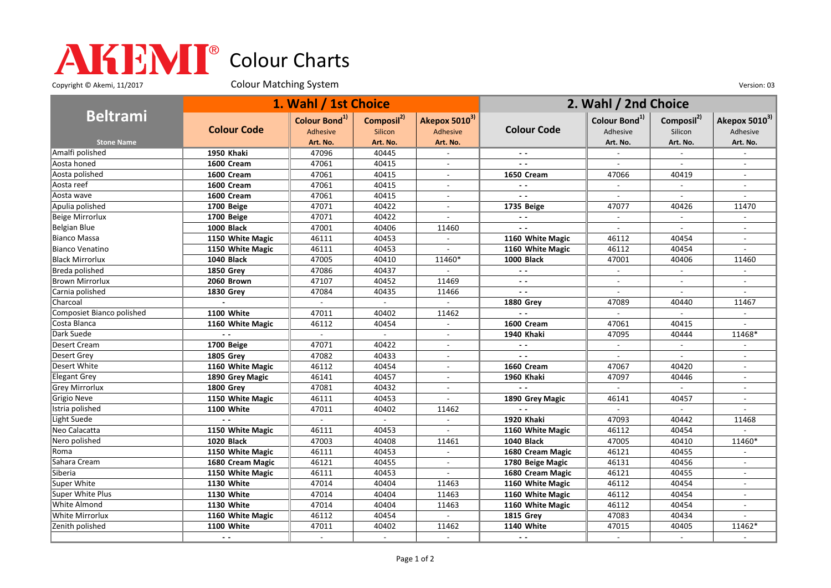## Colour Charts

Copyright © Akemi, 11/2017 Colour Matching System Colour Matching Consumers Colour Colour Matching System Version: 03

|                           | 1. Wahl / 1st Choice |                           |                        |                             | 2. Wahl / 2nd Choice     |                              |                             |                           |
|---------------------------|----------------------|---------------------------|------------------------|-----------------------------|--------------------------|------------------------------|-----------------------------|---------------------------|
| <b>Beltrami</b>           |                      | Colour Bond <sup>1)</sup> | Composil <sup>2)</sup> | Akepox 5010 <sup>3)</sup>   |                          | Colour Bond <sup>1)</sup>    | Composil <sup>2)</sup>      | Akepox 5010 <sup>3)</sup> |
|                           | <b>Colour Code</b>   | <b>Adhesive</b>           | Silicon                | Adhesive                    | <b>Colour Code</b>       | Adhesive                     | Silicon                     | Adhesive                  |
| <b>Stone Name</b>         |                      | Art. No.                  | Art. No.               | Art. No.                    |                          | Art. No.                     | Art. No.                    | Art. No.                  |
| Amalfi polished           | <b>1950 Khaki</b>    | 47096                     | 40445                  |                             |                          |                              |                             |                           |
| Aosta honed               | 1600 Cream           | 47061                     | 40415                  | $\overline{\phantom{a}}$    | $ -$                     | $\sim$                       | $\overline{\phantom{a}}$    | $\overline{\phantom{a}}$  |
| Aosta polished            | 1600 Cream           | 47061                     | 40415                  | $\overline{\phantom{a}}$    | 1650 Cream               | 47066                        | 40419                       |                           |
| Aosta reef                | 1600 Cream           | 47061                     | 40415                  | $\blacksquare$              | $\sim$ $\sim$            | $\mathbf{r}$                 | $\overline{\phantom{a}}$    | $\blacksquare$            |
| Aosta wave                | 1600 Cream           | 47061                     | 40415                  |                             | $\sim$ $\sim$            |                              |                             |                           |
| Apulia polished           | 1700 Beige           | 47071                     | 40422                  |                             | 1735 Beige               | 47077                        | 40426                       | 11470                     |
| Beige Mirrorlux           | 1700 Beige           | 47071                     | 40422                  | $\overline{a}$              | $\sim$ $\sim$            | $\mathbb{L}^{\mathbb{N}}$    | $\overline{a}$              | $\overline{a}$            |
| Belgian Blue              | 1000 Black           | 47001                     | 40406                  | 11460                       | $ -$                     | $\qquad \qquad \blacksquare$ |                             |                           |
| Bianco Massa              | 1150 White Magic     | 46111                     | 40453                  | $\sim$                      | 1160 White Magic         | 46112                        | 40454                       | $\overline{\phantom{a}}$  |
| Bianco Venatino           | 1150 White Magic     | 46111                     | 40453                  |                             | 1160 White Magic         | 46112                        | 40454                       |                           |
| <b>Black Mirrorlux</b>    | 1040 Black           | 47005                     | 40410                  | 11460*                      | 1000 Black               | 47001                        | 40406                       | 11460                     |
| Breda polished            | <b>1850 Grev</b>     | 47086                     | 40437                  |                             | $\sim$ $\sim$            | $\sim$                       | $\mathcal{L}_{\mathcal{A}}$ | $\overline{a}$            |
| Brown Mirrorlux           | 2060 Brown           | 47107                     | 40452                  | 11469                       | $ -$                     | $\overline{\phantom{a}}$     | $\blacksquare$              | $\overline{\phantom{a}}$  |
| Carnia polished           | <b>1830 Grey</b>     | 47084                     | 40435                  | 11466                       | $\sim$ $\sim$            | $\blacksquare$               | $\overline{\phantom{a}}$    | $\overline{\phantom{a}}$  |
| Charcoal                  |                      |                           |                        |                             | <b>1880 Grey</b>         | 47089                        | 40440                       | 11467                     |
| Composiet Bianco polished | <b>1100 White</b>    | 47011                     | 40402                  | 11462                       | $\overline{\phantom{a}}$ | $\overline{\phantom{a}}$     | $\overline{a}$              |                           |
| Costa Blanca              | 1160 White Magic     | 46112                     | 40454                  | $\overline{\phantom{a}}$    | 1600 Cream               | 47061                        | 40415                       |                           |
| Dark Suede                |                      | $\overline{a}$            | $\sim$                 |                             | 1940 Khaki               | 47095                        | 40444                       | 11468*                    |
| Desert Cream              | 1700 Beige           | 47071                     | 40422                  | $\sim$                      | $ -$                     | $\sim$                       | $\overline{a}$              |                           |
| Desert Grey               | <b>1805 Grey</b>     | 47082                     | 40433                  | $\blacksquare$              | $\sim$ $\sim$            |                              |                             |                           |
| Desert White              | 1160 White Magic     | 46112                     | 40454                  | $\sim$                      | 1660 Cream               | 47067                        | 40420                       | $\overline{\phantom{a}}$  |
| <b>Elegant Grey</b>       | 1890 Grey Magic      | 46141                     | 40457                  | $\blacksquare$              | 1960 Khaki               | 47097                        | 40446                       | $\blacksquare$            |
| <b>Grey Mirrorlux</b>     | <b>1800 Grev</b>     | 47081                     | 40432                  | $\blacksquare$              | $\sim$ $\sim$            | $\mathbf{r}$                 | $\overline{a}$              | $\overline{a}$            |
| Grigio Neve               | 1150 White Magic     | 46111                     | 40453                  |                             | 1890 Grey Magic          | 46141                        | 40457                       |                           |
| Istria polished           | 1100 White           | 47011                     | 40402                  | 11462                       | $\sim$                   |                              | $\overline{a}$              |                           |
| Light Suede               | $\sim$ $\sim$        | $\overline{a}$            | $\sim$                 | $\mathbb{L}^{\mathbb{N}}$   | 1920 Khaki               | 47093                        | 40442                       | 11468                     |
| Neo Calacatta             | 1150 White Magic     | 46111                     | 40453                  |                             | 1160 White Magic         | 46112                        | 40454                       |                           |
| Nero polished             | 1020 Black           | 47003                     | 40408                  | 11461                       | <b>1040 Black</b>        | 47005                        | 40410                       | 11460*                    |
| Roma                      | 1150 White Magic     | 46111                     | 40453                  |                             | 1680 Cream Magic         | 46121                        | 40455                       |                           |
| Sahara Cream              | 1680 Cream Magic     | 46121                     | 40455                  | $\overline{a}$              | 1780 Beige Magic         | 46131                        | 40456                       | $\overline{a}$            |
| Siberia                   | 1150 White Magic     | 46111                     | 40453                  | $\overline{a}$              | 1680 Cream Magic         | 46121                        | 40455                       | $\overline{a}$            |
| Super White               | 1130 White           | 47014                     | 40404                  | 11463                       | 1160 White Magic         | 46112                        | 40454                       |                           |
| Super White Plus          | 1130 White           | 47014                     | 40404                  | 11463                       | 1160 White Magic         | 46112                        | 40454                       | $\blacksquare$            |
| <b>White Almond</b>       | 1130 White           | 47014                     | 40404                  | 11463                       | 1160 White Magic         | 46112                        | 40454                       |                           |
| White Mirrorlux           | 1160 White Magic     | 46112                     | 40454                  | $\mathcal{L}^{\mathcal{A}}$ | <b>1815 Grey</b>         | 47083                        | 40434                       | $\sim$                    |
| Zenith polished           | 1100 White           | 47011                     | 40402                  | 11462                       | 1140 White               | 47015                        | 40405                       | 11462*                    |
|                           |                      |                           | $\sim$                 | $\sim$                      |                          | $\sim$                       | $\sim$                      |                           |